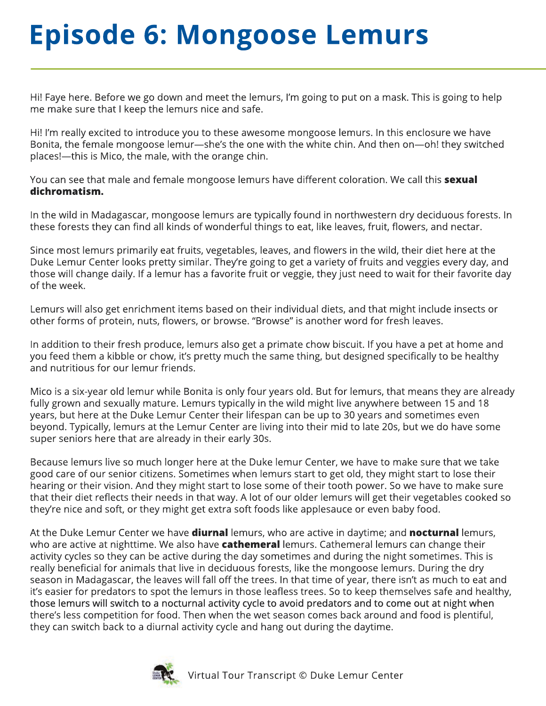## **Episode 6: Mongoose Lemurs**

Hi! Faye here. Before we go down and meet the lemurs, I'm going to put on a mask. This is going to help me make sure that I keep the lemurs nice and safe.

Hi! I'm really excited to introduce you to these awesome mongoose lemurs. In this enclosure we have Bonita, the female mongoose lemur—she's the one with the white chin. And then on—oh! they switched places!—this is Mico, the male, with the orange chin.

You can see that male and female mongoose lemurs have different coloration. We call this sexual dichromatism.

In the wild in Madagascar, mongoose lemurs are typically found in northwestern dry deciduous forests. In these forests they can find all kinds of wonderful things to eat, like leaves, fruit, flowers, and nectar.

Since most lemurs primarily eat fruits, vegetables, leaves, and flowers in the wild, their diet here at the Duke Lemur Center looks pretty similar. They're going to get a variety of fruits and veggies every day, and those will change daily. If a lemur has a favorite fruit or veggie, they just need to wait for their favorite day of the week.

Lemurs will also get enrichment items based on their individual diets, and that might include insects or other forms of protein, nuts, flowers, or browse. "Browse" is another word for fresh leaves.

In addition to their fresh produce, lemurs also get a primate chow biscuit. If you have a pet at home and you feed them a kibble or chow, it's pretty much the same thing, but designed specifically to be healthy and nutritious for our lemur friends.

Mico is a six-year old lemur while Bonita is only four years old. But for lemurs, that means they are already fully grown and sexually mature. Lemurs typically in the wild might live anywhere between 15 and 18 years, but here at the Duke Lemur Center their lifespan can be up to 30 years and sometimes even beyond. Typically, lemurs at the Lemur Center are living into their mid to late 20s, but we do have some super seniors here that are already in their early 30s.

Because lemurs live so much longer here at the Duke lemur Center, we have to make sure that we take good care of our senior citizens. Sometimes when lemurs start to get old, they might start to lose their hearing or their vision. And they might start to lose some of their tooth power. So we have to make sure that their diet reflects their needs in that way. A lot of our older lemurs will get their vegetables cooked so they're nice and soft, or they might get extra soft foods like applesauce or even baby food.

At the Duke Lemur Center we have **diurnal** lemurs, who are active in daytime; and **nocturnal** lemurs, who are active at nighttime. We also have **cathemeral** lemurs. Cathemeral lemurs can change their activity cycles so they can be active during the day sometimes and during the night sometimes. This is really beneficial for animals that live in deciduous forests, like the mongoose lemurs. During the dry season in Madagascar, the leaves will fall off the trees. In that time of year, there isn't as much to eat and it's easier for predators to spot the lemurs in those leafless trees. So to keep themselves safe and healthy, those lemurs will switch to a nocturnal activity cycle to avoid predators and to come out at night when there's less competition for food. Then when the wet season comes back around and food is plentiful, they can switch back to a diurnal activity cycle and hang out during the daytime.